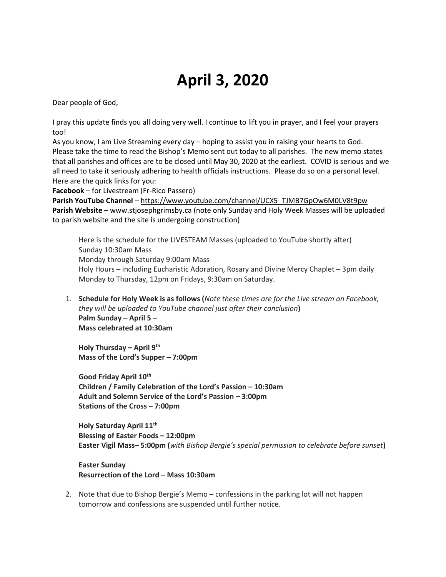## **April 3, 2020**

Dear people of God,

I pray this update finds you all doing very well. I continue to lift you in prayer, and I feel your prayers too!

As you know, I am Live Streaming every day – hoping to assist you in raising your hearts to God. Please take the time to read the Bishop's Memo sent out today to all parishes. The new memo states that all parishes and offices are to be closed until May 30, 2020 at the earliest. COVID is serious and we all need to take it seriously adhering to health officials instructions. Please do so on a personal level. Here are the quick links for you:

**Facebook** – for Livestream (Fr-Rico Passero)

**Parish YouTube Channel** – [https://www.youtube.com/channel/UCX5\\_TJMB7GpOw6M0LV8t9pw](https://www.youtube.com/channel/UCX5_TJMB7GpOw6M0LV8t9pw) **Parish Website** – [www.stjosephgrimsby.ca](http://www.stjosephgrimsby.ca/) (note only Sunday and Holy Week Masses will be uploaded to parish website and the site is undergoing construction)

Here is the schedule for the LIVESTEAM Masses (uploaded to YouTube shortly after) Sunday 10:30am Mass Monday through Saturday 9:00am Mass Holy Hours – including Eucharistic Adoration, Rosary and Divine Mercy Chaplet – 3pm daily Monday to Thursday, 12pm on Fridays, 9:30am on Saturday.

1. **Schedule for Holy Week is as follows (***Note these times are for the Live stream on Facebook, they will be uploaded to YouTube channel just after their conclusion***) Palm Sunday – April 5 – Mass celebrated at 10:30am**

**Holy Thursday – April 9th Mass of the Lord's Supper – 7:00pm**

**Good Friday April 10th Children / Family Celebration of the Lord's Passion – 10:30am Adult and Solemn Service of the Lord's Passion – 3:00pm Stations of the Cross – 7:00pm**

**Holy Saturday April 11th Blessing of Easter Foods – 12:00pm Easter Vigil Mass– 5:00pm (***with Bishop Bergie's special permission to celebrate before sunset***)**

**Easter Sunday Resurrection of the Lord – Mass 10:30am**

2. Note that due to Bishop Bergie's Memo – confessions in the parking lot will not happen tomorrow and confessions are suspended until further notice.